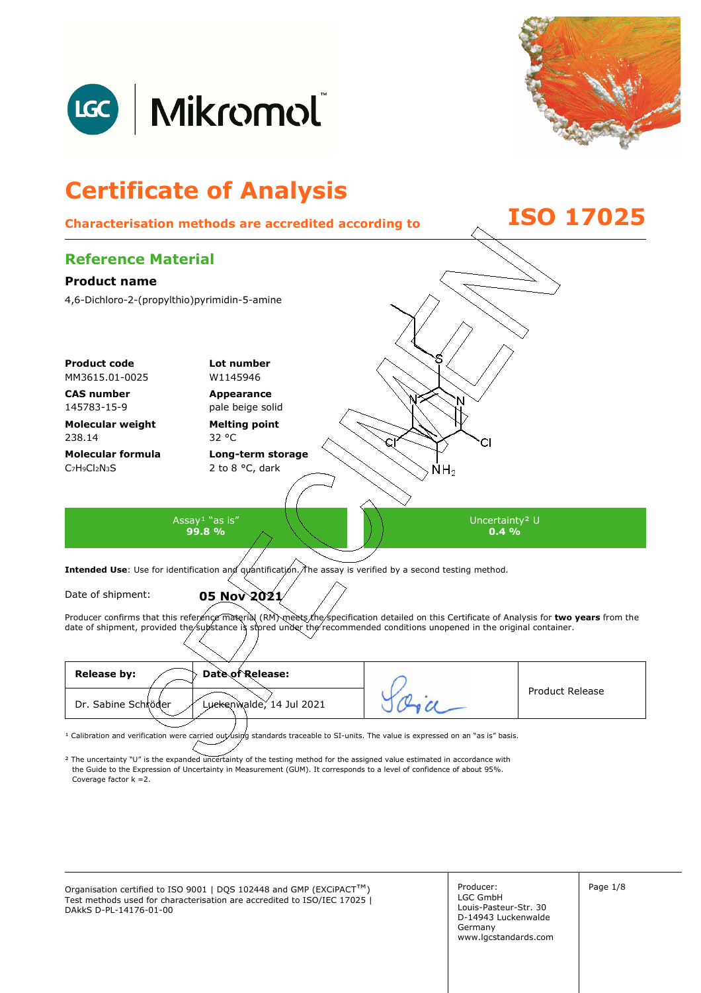



## **Certificate of Analysis Characterisation methods are accredited according to ISO 17025 Reference Material Product name**  4,6-Dichloro-2-(propylthio)pyrimidin-5-amine **Product code Lot number** MM3615.01-0025 W1145946 **CAS number Appearance**  145783-15-9 pale beige solid **Molecular weight Melting point**  238.14 32 °C **Molecular formula Long-term storage**  C7H9Cl2N3S 2 to 8 °C, dark ŃΗ<sub>2</sub> Assay<sup>1</sup> "as is" Uncertainty² U **99.8 %**   $0.4\%$ Intended Use: Use for identification and quantification. The assay is verified by a second testing method.

Date of shipment: **05 Nov 2021** 

Producer confirms that this reference material (RM) meets the specification detailed on this Certificate of Analysis for two years from the

date of shipment, provided the substance is stored under the recommended conditions unopened in the original container.

| <b>Release by:</b><br>Date of Release:          |  | <b>Product Release</b> |
|-------------------------------------------------|--|------------------------|
| Dr. Sabine Schröder<br>Luckenwalde, 14 Jul 2021 |  |                        |
|                                                 |  |                        |

<sup>1</sup> Calibration and verification were carried out using standards traceable to SI-units. The value is expressed on an "as is" basis.

² The uncertainty "U" is the expanded uncertainty of the testing method for the assigned value estimated in accordance with Coverage factor k =2. the Guide to the Expression of Uncertainty in Measurement (GUM). It corresponds to a level of confidence of about 95%.

Organisation certified to ISO 9001 | DQS 102448 and GMP (EXCiPACT<sup>™</sup>) Producer: Page 1/8 Test methods used for characterisation are accredited to ISO/IEC 17025 | DAkkS D-PL-14176-01-00

Producer: LGC GmbH Louis-Pasteur-Str. 30 D-14943 Luckenwalde Germany www.lgcstandards.com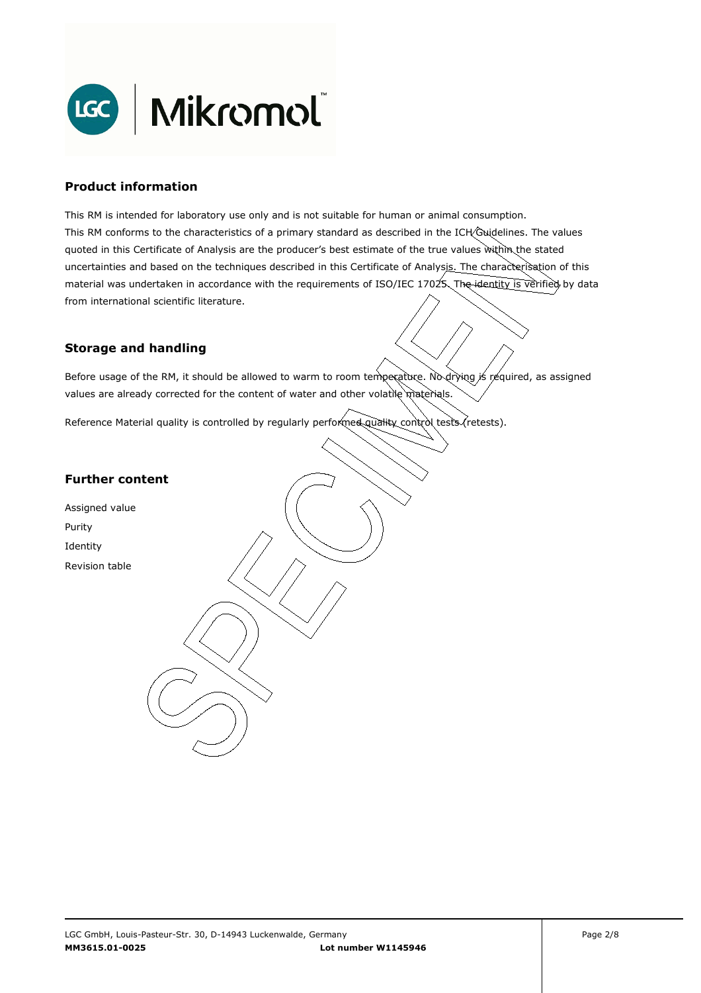

### **Product information**

This RM is intended for laboratory use only and is not suitable for human or animal consumption. This RM conforms to the characteristics of a primary standard as described in the ICH Guidelines. The values quoted in this Certificate of Analysis are the producer's best estimate of the true values within the stated uncertainties and based on the techniques described in this Certificate of Analysis. The characterisation of this material was undertaken in accordance with the requirements of ISO/IEC 17025. The identity is verified by data from international scientific literature.

## **Storage and handling**

Before usage of the RM, it should be allowed to warm to room temperature. No drying is required, as assigned values are already corrected for the content of water and other volatile materials.

Reference Material quality is controlled by regularly performed quality control tests (retests).

## **Further content**

Assigned value Purity Identity Revision table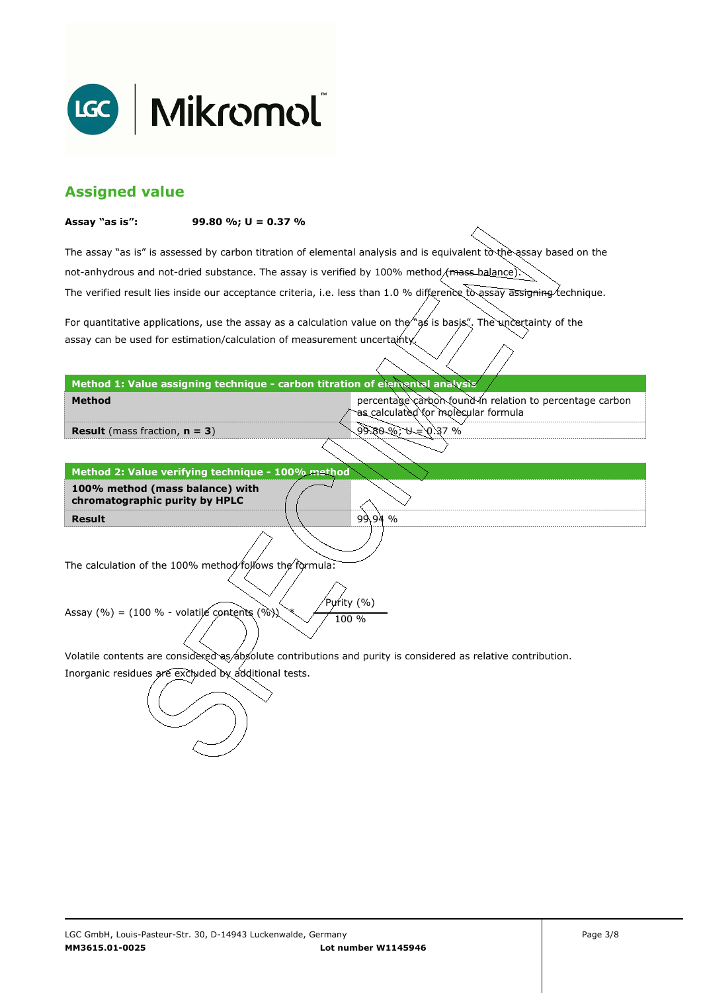

## **Assigned value**

#### **Assay "as is": 99.80 %; U = 0.37 %**

The assay "as is" is assessed by carbon titration of elemental analysis and is equivalent to the assay based on the The verified result lies inside our acceptance criteria, i.e. less than 1.0 % difference to assay assigning technique. not-anhydrous and not-dried substance. The assay is verified by 100% method/mass-balance)

For quantitative applications, use the assay as a calculation value on the  $\gamma$  as is basis". The uncertainty of the assay can be used for estimation/calculation of measurement uncertainty.

### **Method 1: Value assigning technique - carbon titration of elemental analysis**

percentage carbon found in relation to percentage carbon as calculated for molecular formula

9.80 %; U = 0.37 %

99.94 %

**Result** (mass fraction, **n = 3**)

**Method** 

**Result Method 2: Value verifying technique - 100% method 100% method (mass balance) with chromatographic purity by HPLC** 

The calculation of the 100% method follows the formula:

Purity (%) Assay (%) = (100 % - volatile contents (%)  $\chi$  / 100 %

Volatile contents are considered as absolute contributions and purity is considered as relative contribution.

Inorganic residues are excluded by additional tests.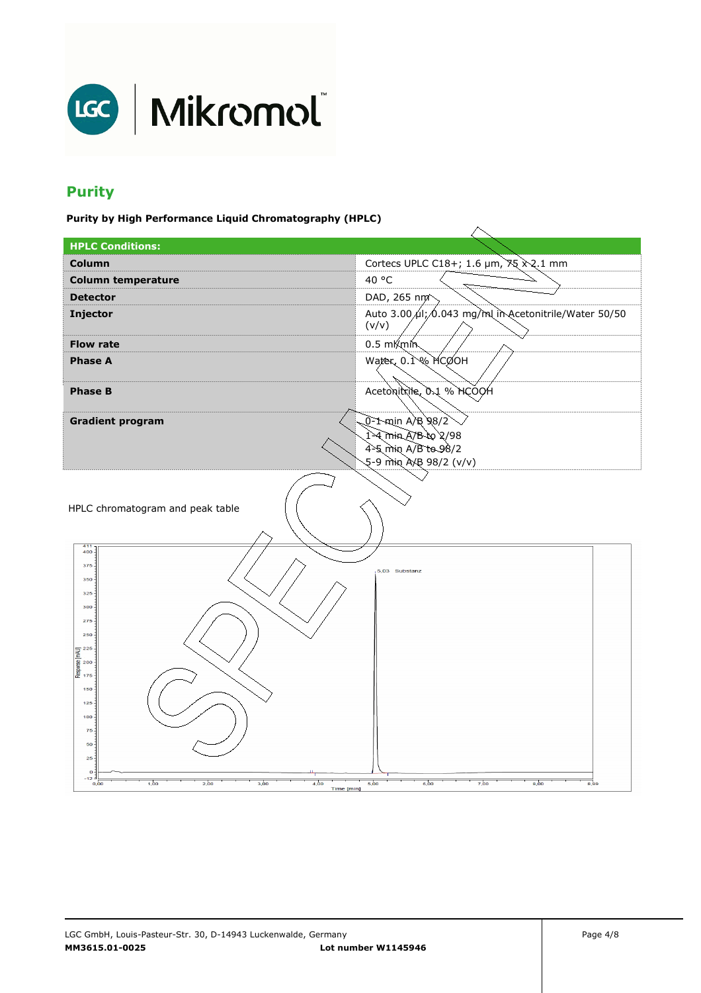

# **Purity**

**Purity by High Performance Liquid Chromatography (HPLC)** 

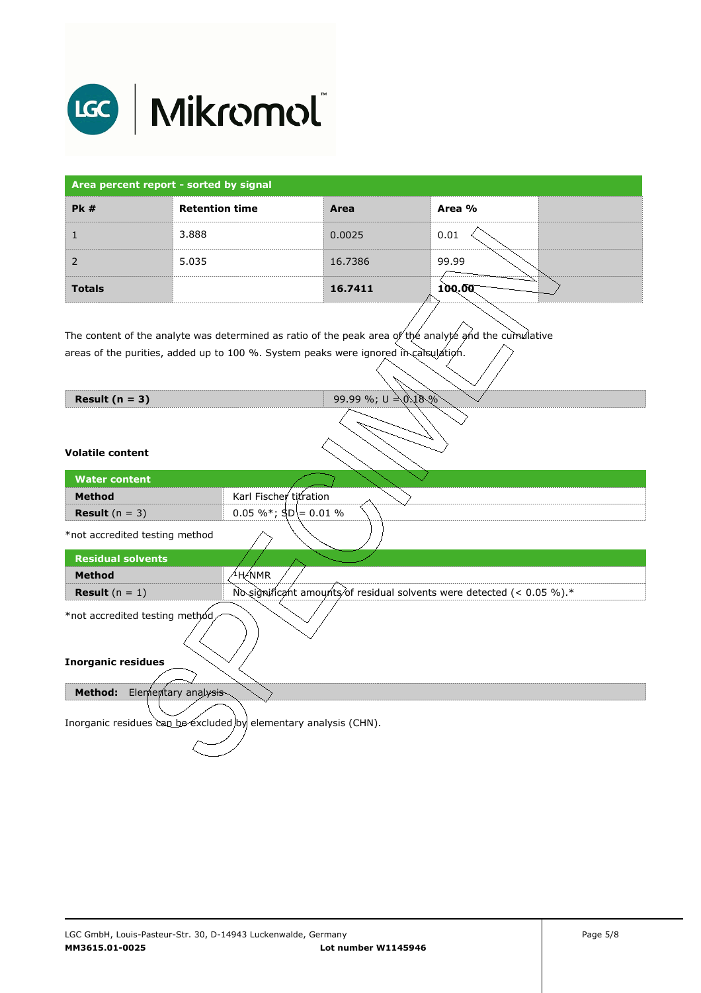

| Area percent report - sorted by signal |                       |         |        |
|----------------------------------------|-----------------------|---------|--------|
| PK#                                    | <b>Retention time</b> | Area    | Area % |
|                                        | 3.888                 | 0.0025  | 0.01   |
|                                        | 5.035                 | 16.7386 | 99.99  |
| <b>Totals</b>                          |                       | 16.7411 | 100.00 |

The content of the analyte was determined as ratio of the peak area of the analyte and the cumulative areas of the purities, added up to 100 %. System peaks were ignored in calculation.

| Result $(n = 3)$                                                 | 99.99 %; $U = 0.18\%$                                                  |  |  |
|------------------------------------------------------------------|------------------------------------------------------------------------|--|--|
| <b>Volatile content</b>                                          |                                                                        |  |  |
| <b>Water content</b>                                             |                                                                        |  |  |
| <b>Method</b>                                                    | Karl Fischer titration                                                 |  |  |
| <b>Result</b> $(n = 3)$                                          | 0.05 %*; $\text{SD} = 0.01$ %                                          |  |  |
| *not accredited testing method                                   |                                                                        |  |  |
| <b>Residual solvents</b>                                         |                                                                        |  |  |
| <b>Method</b>                                                    | $4$ H $\not\in$ NMR                                                    |  |  |
| <b>Result</b> $(n = 1)$                                          | No significant amounts of residual solvents were detected (< 0.05 %).* |  |  |
| *not accredited testing method                                   |                                                                        |  |  |
| <b>Inorganic residues</b>                                        |                                                                        |  |  |
| <b>Method:</b><br>Elementary analysis                            |                                                                        |  |  |
| Inorganic residues can be excluded by elementary analysis (CHN). |                                                                        |  |  |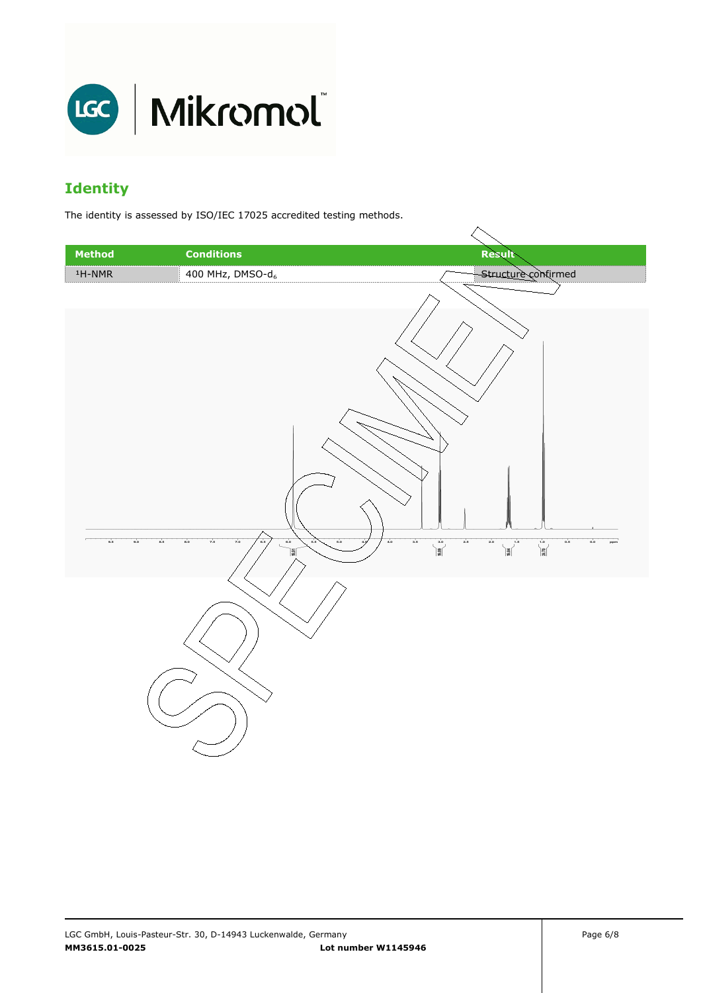

# **Identity**

The identity is assessed by ISO/IEC 17025 accredited testing methods.

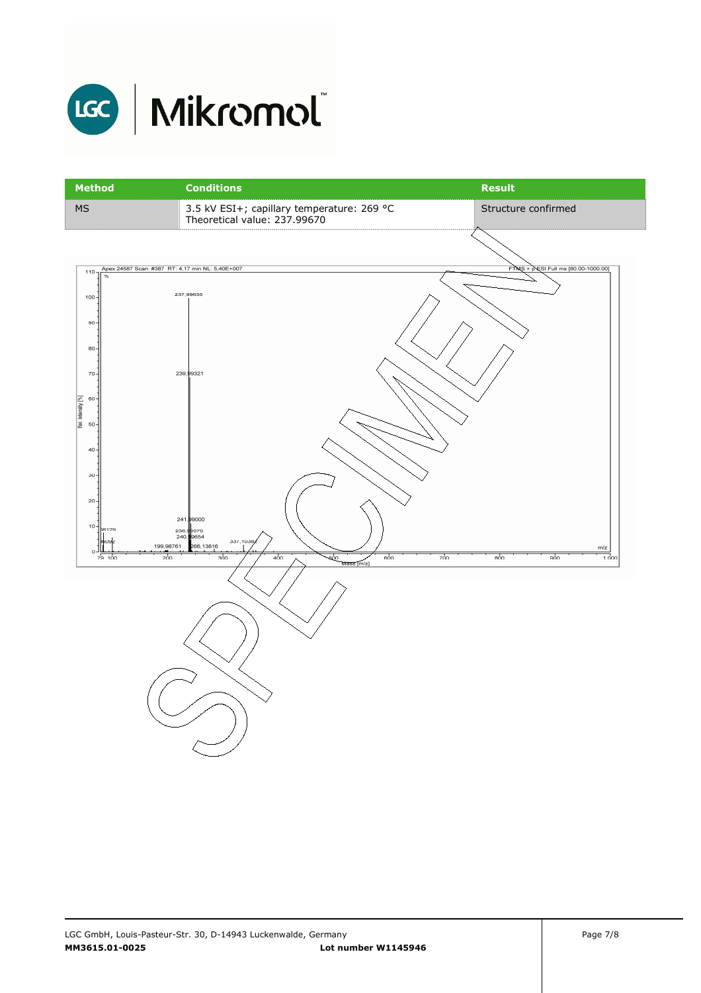